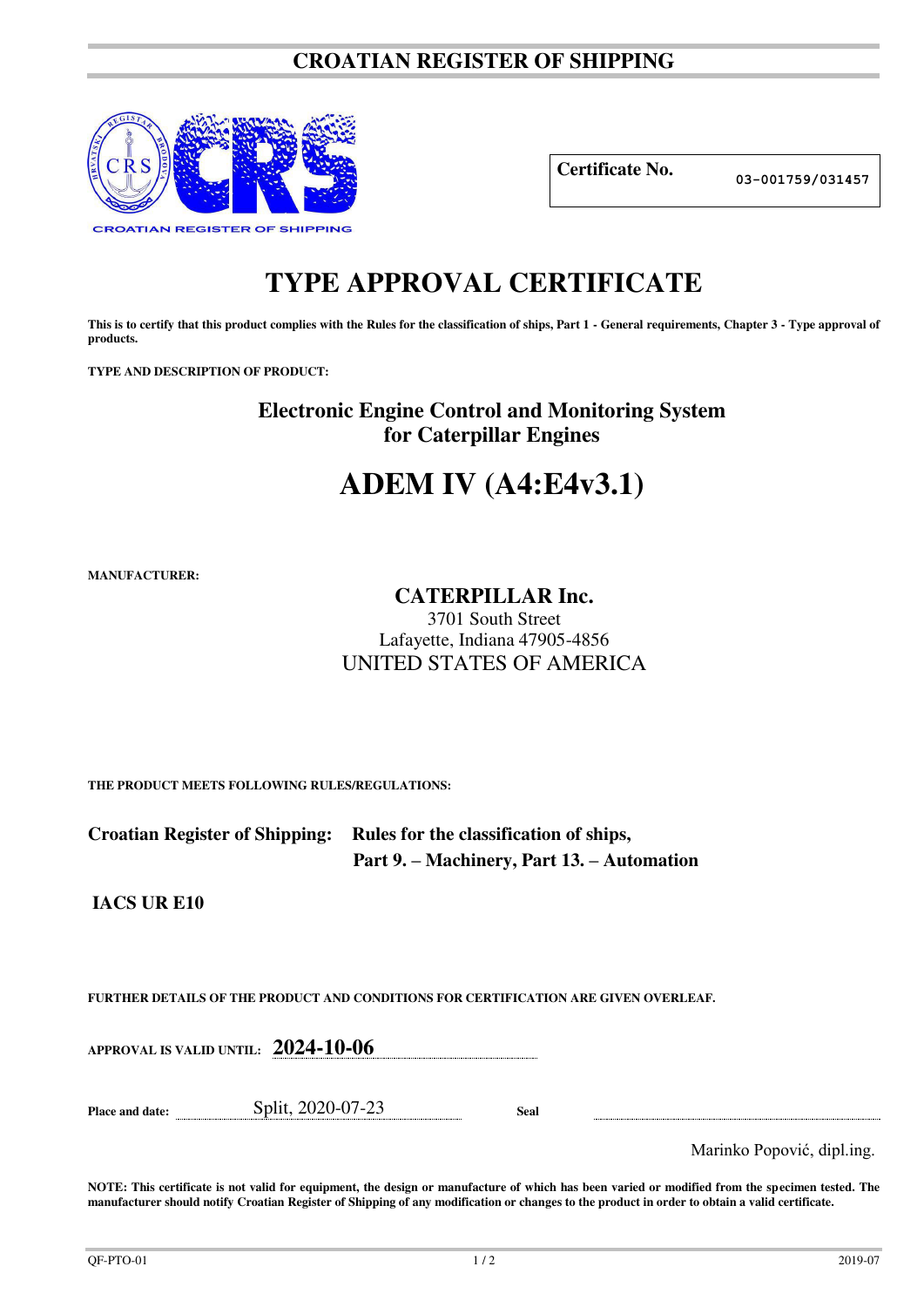## **CROATIAN REGISTER OF SHIPPING**



**Certificate No. 03-001759/031457**

## **TYPE APPROVAL CERTIFICATE**

This is to certify that this product complies with the Rules for the classification of ships, Part 1 - General requirements, Chapter 3 - Type approval of **products.** 

**TYPE AND DESCRIPTION OF PRODUCT:** 

**Electronic Engine Control and Monitoring System for Caterpillar Engines** 

# **ADEM IV (A4:E4v3.1)**

**MANUFACTURER:**

### **CATERPILLAR Inc.**

3701 South Street Lafayette, Indiana 47905-4856 UNITED STATES OF AMERICA

**THE PRODUCT MEETS FOLLOWING RULES/REGULATIONS:**

| Croatian Register of Shipping: Rules for the classification of ships, |
|-----------------------------------------------------------------------|
| Part 9. – Machinery, Part 13. – Automation                            |

**IACS UR E10** 

**FURTHER DETAILS OF THE PRODUCT AND CONDITIONS FOR CERTIFICATION ARE GIVEN OVERLEAF.**

**APPROVAL IS VALID UNTIL: 2024-10-06**

**Place and date:** Split, 2020-07-23 **Seal** 

Marinko Popović, dipl.ing.

**NOTE: This certificate is not valid for equipment, the design or manufacture of which has been varied or modified from the specimen tested. The manufacturer should notify Croatian Register of Shipping of any modification or changes to the product in order to obtain a valid certificate.**